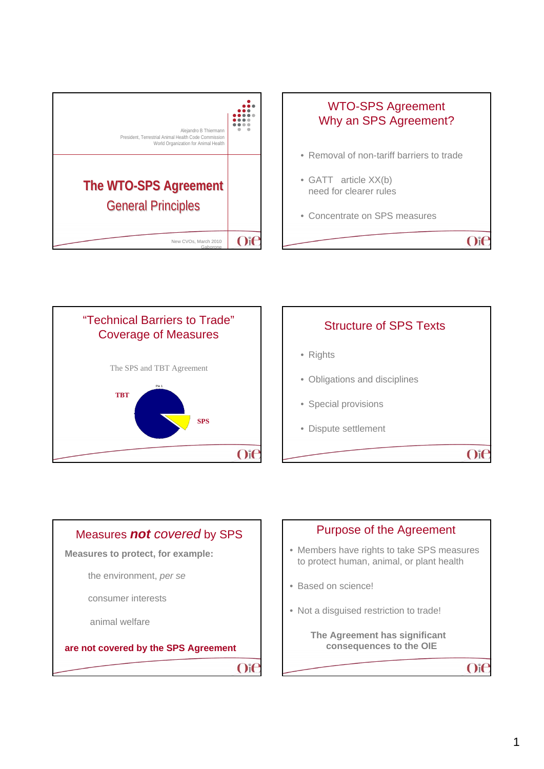









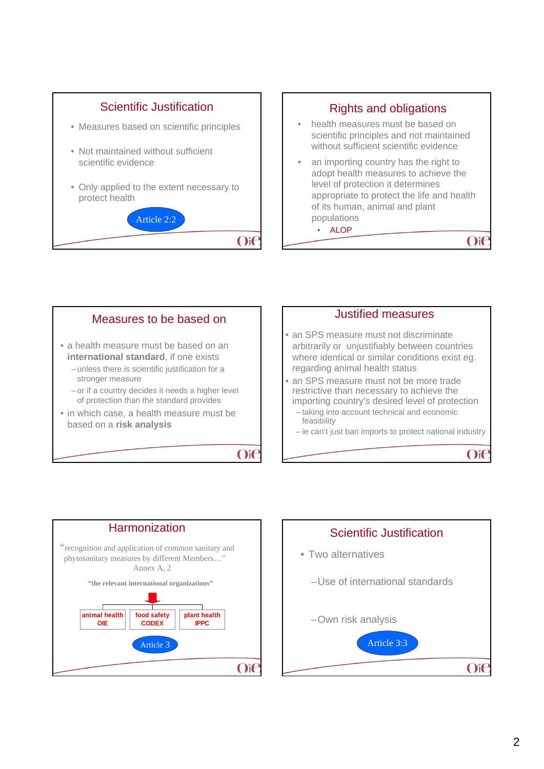







 $O$ if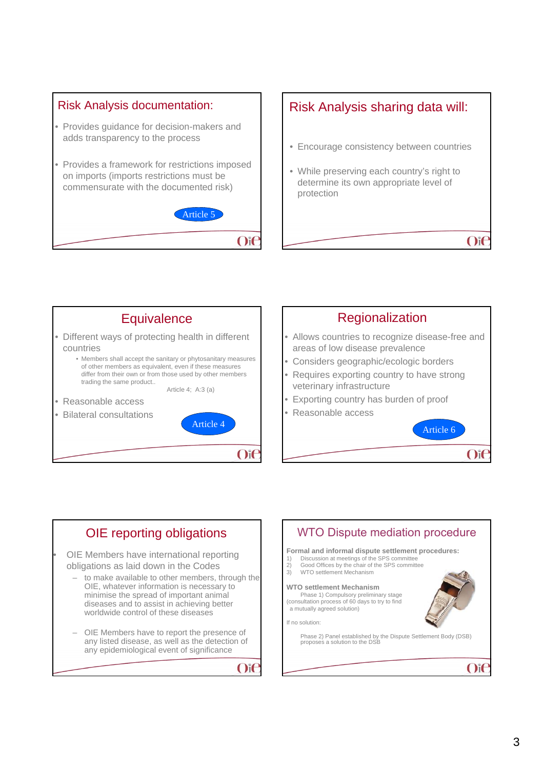